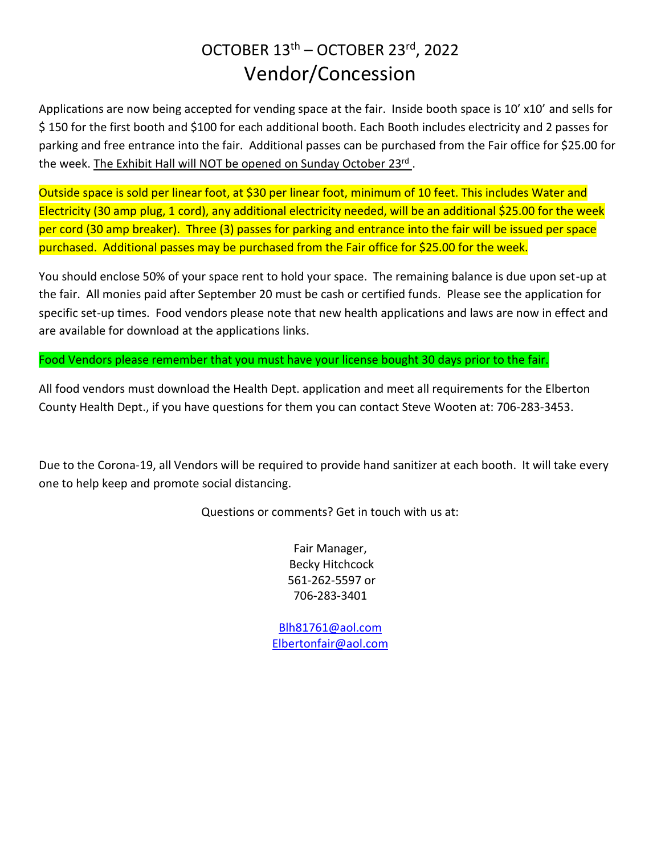## OCTOBER 13<sup>th</sup> – OCTOBER 23<sup>rd</sup>, 2022 Vendor/Concession

Applications are now being accepted for vending space at the fair. Inside booth space is 10' x10' and sells for \$ 150 for the first booth and \$100 for each additional booth. Each Booth includes electricity and 2 passes for parking and free entrance into the fair. Additional passes can be purchased from the Fair office for \$25.00 for the week. The Exhibit Hall will NOT be opened on Sunday October 23<sup>rd</sup>.

Outside space is sold per linear foot, at \$30 per linear foot, minimum of 10 feet. This includes Water and Electricity (30 amp plug, 1 cord), any additional electricity needed, will be an additional \$25.00 for the week per cord (30 amp breaker). Three (3) passes for parking and entrance into the fair will be issued per space purchased. Additional passes may be purchased from the Fair office for \$25.00 for the week.

You should enclose 50% of your space rent to hold your space. The remaining balance is due upon set-up at the fair. All monies paid after September 20 must be cash or certified funds. Please see the application for specific set-up times. Food vendors please note that new health applications and laws are now in effect and are available for download at the applications links.

Food Vendors please remember that you must have your license bought 30 days prior to the fair.

All food vendors must download the Health Dept. application and meet all requirements for the Elberton County Health Dept., if you have questions for them you can contact Steve Wooten at: 706-283-3453.

Due to the Corona-19, all Vendors will be required to provide hand sanitizer at each booth. It will take every one to help keep and promote social distancing.

Questions or comments? Get in touch with us at:

Fair Manager, Becky Hitchcock 561-262-5597 or 706-283-3401

[Blh81761@aol.com](mailto:Blh81761@aol.com) [Elbertonfair@aol.com](mailto:Elbertonfair@aol.com)